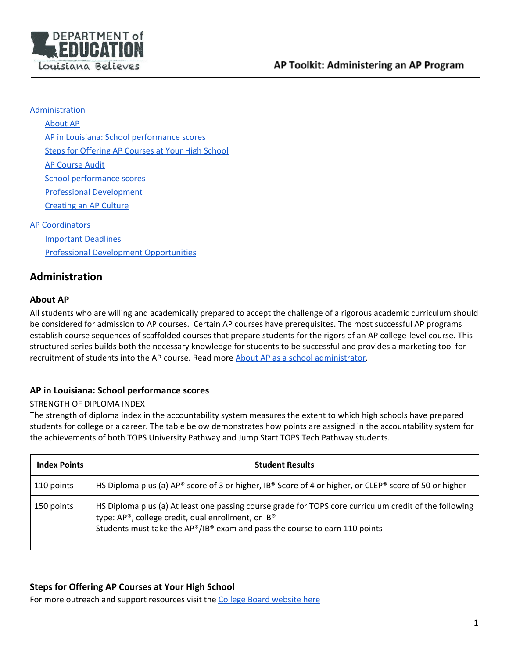

#### **[Administration](#page-0-0)**

[About](#page-0-1) AP

AP in Louisiana: School [performance](#page-0-2) scores

Steps for [Offering](#page-0-3) AP Courses at Your High School

AP [Course](#page-1-0) Audit

School performance scores

Professional [Development](#page-2-0)

[Creating](#page-2-1) an AP Culture

### AP [Coordinators](#page-2-2)

[Important](#page-2-3) Deadlines Professional Development [Opportunities](#page-3-0)

# <span id="page-0-0"></span>**Administration**

### <span id="page-0-1"></span>**About AP**

All students who are willing and academically prepared to accept the challenge of a rigorous academic curriculum should be considered for admission to AP courses. Certain AP courses have prerequisites. The most successful AP programs establish course sequences of scaffolded courses that prepare students for the rigors of an AP college-level course. This structured series builds both the necessary knowledge for students to be successful and provides a marketing tool for recruitment of students into the AP course. Read more About AP as a school [administrator.](https://apcentral.collegeboard.org/about-ap-20-21/start-grow-ap)

### <span id="page-0-2"></span>**AP in Louisiana: School performance scores**

### STRENGTH OF DIPLOMA INDEX

The strength of diploma index in the accountability system measures the extent to which high schools have prepared students for college or a career. The table below demonstrates how points are assigned in the accountability system for the achievements of both TOPS University Pathway and Jump Start TOPS Tech Pathway students.

| <b>Index Points</b> | <b>Student Results</b>                                                                                                                                                                                                                     |
|---------------------|--------------------------------------------------------------------------------------------------------------------------------------------------------------------------------------------------------------------------------------------|
| 110 points          | HS Diploma plus (a) AP® score of 3 or higher, IB® Score of 4 or higher, or CLEP® score of 50 or higher                                                                                                                                     |
| 150 points          | HS Diploma plus (a) At least one passing course grade for TOPS core curriculum credit of the following<br>type: AP®, college credit, dual enrollment, or IB®<br>Students must take the AP®/IB® exam and pass the course to earn 110 points |

## <span id="page-0-3"></span>**Steps for Offering AP Courses at Your High School**

For more outreach and support resources visit the College Board [website](https://apcentral.collegeboard.org/about-ap/start-grow-ap/outreach-support-resources) here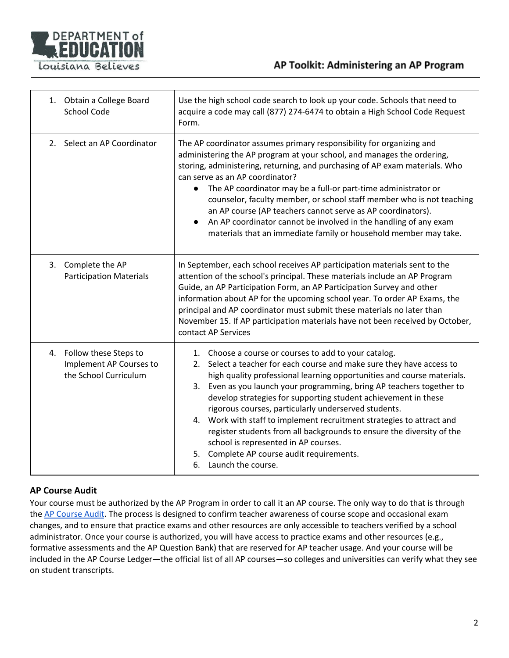

# AP Toolkit: Administering an AP Program

|         | 1. Obtain a College Board<br><b>School Code</b>                              | Use the high school code search to look up your code. Schools that need to<br>acquire a code may call (877) 274-6474 to obtain a High School Code Request<br>Form.                                                                                                                                                                                                                                                                                                                                                                                                                                                                                                             |
|---------|------------------------------------------------------------------------------|--------------------------------------------------------------------------------------------------------------------------------------------------------------------------------------------------------------------------------------------------------------------------------------------------------------------------------------------------------------------------------------------------------------------------------------------------------------------------------------------------------------------------------------------------------------------------------------------------------------------------------------------------------------------------------|
| $2_{1}$ | Select an AP Coordinator                                                     | The AP coordinator assumes primary responsibility for organizing and<br>administering the AP program at your school, and manages the ordering,<br>storing, administering, returning, and purchasing of AP exam materials. Who<br>can serve as an AP coordinator?<br>The AP coordinator may be a full-or part-time administrator or<br>counselor, faculty member, or school staff member who is not teaching<br>an AP course (AP teachers cannot serve as AP coordinators).<br>An AP coordinator cannot be involved in the handling of any exam<br>$\bullet$<br>materials that an immediate family or household member may take.                                                |
| 3.      | Complete the AP<br><b>Participation Materials</b>                            | In September, each school receives AP participation materials sent to the<br>attention of the school's principal. These materials include an AP Program<br>Guide, an AP Participation Form, an AP Participation Survey and other<br>information about AP for the upcoming school year. To order AP Exams, the<br>principal and AP coordinator must submit these materials no later than<br>November 15. If AP participation materials have not been received by October,<br>contact AP Services                                                                                                                                                                                |
|         | 4. Follow these Steps to<br>Implement AP Courses to<br>the School Curriculum | 1. Choose a course or courses to add to your catalog.<br>Select a teacher for each course and make sure they have access to<br>2.<br>high quality professional learning opportunities and course materials.<br>3. Even as you launch your programming, bring AP teachers together to<br>develop strategies for supporting student achievement in these<br>rigorous courses, particularly underserved students.<br>4. Work with staff to implement recruitment strategies to attract and<br>register students from all backgrounds to ensure the diversity of the<br>school is represented in AP courses.<br>5. Complete AP course audit requirements.<br>6. Launch the course. |

### <span id="page-1-0"></span>**AP Course Audit**

Your course must be authorized by the AP Program in order to call it an AP course. The only way to do that is through the AP [Course](https://apcentral.collegeboard.org/courses/ap-course-audit/explore-by-role/teachers) Audit. The process is designed to confirm teacher awareness of course scope and occasional exam changes, and to ensure that practice exams and other resources are only accessible to teachers verified by a school administrator. Once your course is authorized, you will have access to practice exams and other resources (e.g., formative assessments and the AP Question Bank) that are reserved for AP teacher usage. And your course will be included in the AP Course Ledger—the official list of all AP courses—so colleges and universities can verify what they see on student transcripts.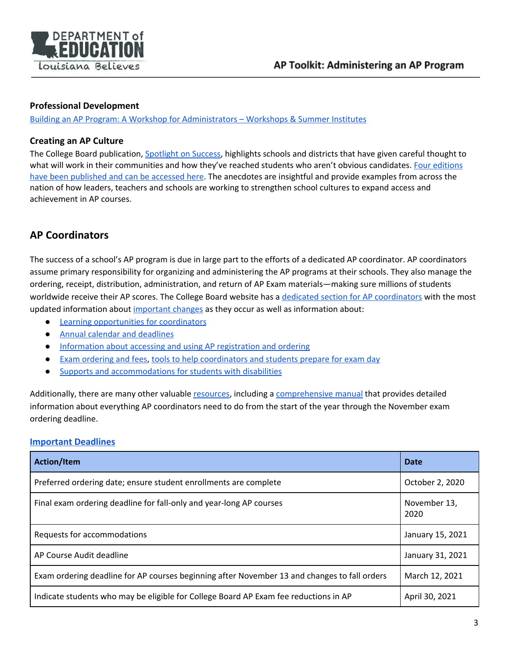

#### <span id="page-2-0"></span>**Professional Development**

<span id="page-2-1"></span>Building an AP Program: A Workshop for [Administrators](https://professionals.collegeboard.org/prof-dev/workshops/k-12/ap-workshops) – Workshops & Summer Institutes

### **Creating an AP Culture**

The College Board publication, [Spotlight](https://apcentral.collegeboard.org/about-ap/start-grow-ap/grow-ap/spotlight-on-success) on Success, highlights schools and districts that have given careful thought to what will work in their communities and how they've reached students who aren't obvious candidates. Four [editions](https://apcentral.collegeboard.org/about-ap/start-grow-ap/grow-ap/spotlight-on-success) have been [published](https://apcentral.collegeboard.org/about-ap/start-grow-ap/grow-ap/spotlight-on-success) and can be accessed here. The anecdotes are insightful and provide examples from across the nation of how leaders, teachers and schools are working to strengthen school cultures to expand access and achievement in AP courses.

# <span id="page-2-2"></span>**AP Coordinators**

The success of a school's AP program is due in large part to the efforts of a dedicated AP coordinator. AP coordinators assume primary responsibility for organizing and administering the AP programs at their schools. They also manage the ordering, receipt, distribution, administration, and return of AP Exam materials—making sure millions of students worldwide receive their AP scores. The College Board website has a dedicated section for AP [coordinators](https://apcentral.collegeboard.org/ap-coordinators) with the most updated information about [important](https://apcentral.collegeboard.org/ap-coordinators/important-changes) changes as they occur as well as information about:

- Learning [opportunities](https://apcentral.collegeboard.org/ap-coordinators/learning-development) for coordinators
- Annual calendar and [deadlines](https://apcentral.collegeboard.org/ap-coordinators/calendar-deadlines)
- [Information](https://apcentral.collegeboard.org/ap-coordinators/accessing-and-using-ap-registration-and-ordering) about accessing and using AP registration and ordering
- Exam [ordering](https://apcentral.collegeboard.org/ap-coordinators/exam-ordering-fees) and fees, tools to help [coordinators](https://apcentral.collegeboard.org/ap-coordinators/preparing-exam-day) and students prepare for exam day
- Supports and [accommodations](https://accommodations.collegeboard.org/) for students with disabilities

Additionally, there are many other valuabl[e](https://apcentral.collegeboard.org/ap-coordinators/resource-library) [resources](https://apcentral.collegeboard.org/ap-coordinators/resource-library), including a [comprehensive](https://apcentral.collegeboard.org/pdf/ap-coordinators-manual-part-1-2020-21.pdf) manual that provides detailed information about everything AP coordinators need to do from the start of the year through the November exam ordering deadline.

### <span id="page-2-3"></span>**[Important Deadlines](https://apcentral.collegeboard.org/ap-coordinators/calendar-deadlines)**

| <b>Action/Item</b>                                                                           | <b>Date</b>          |
|----------------------------------------------------------------------------------------------|----------------------|
| Preferred ordering date; ensure student enrollments are complete                             | October 2, 2020      |
| Final exam ordering deadline for fall-only and year-long AP courses                          | November 13,<br>2020 |
| Requests for accommodations                                                                  | January 15, 2021     |
| AP Course Audit deadline                                                                     | January 31, 2021     |
| Exam ordering deadline for AP courses beginning after November 13 and changes to fall orders | March 12, 2021       |
| Indicate students who may be eligible for College Board AP Exam fee reductions in AP         | April 30, 2021       |